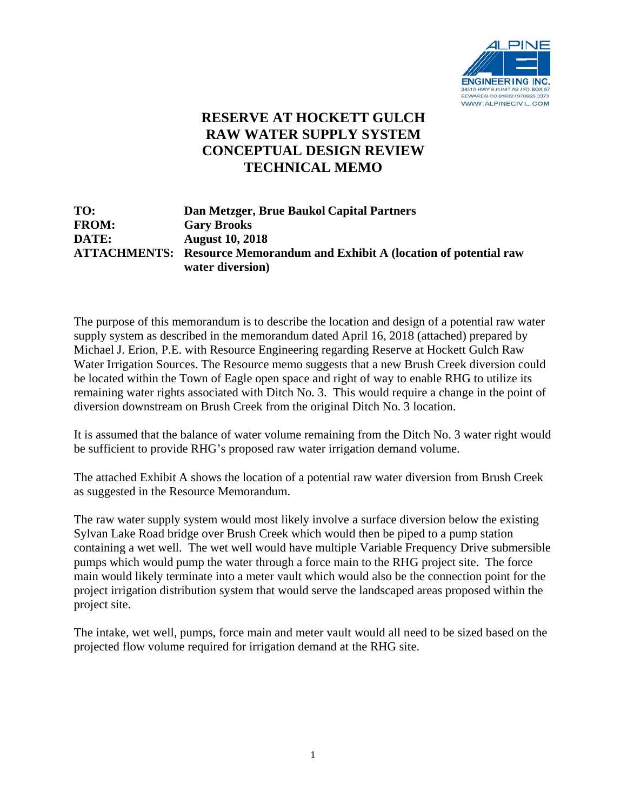

## **RESERVE AT HOCKETT GULCH RAW WATER SUPPLY SYSTEM CONCEPTUAL DESIGN REVIEW TECHNICAL MEMO**

| TO:          | Dan Metzger, Brue Baukol Capital Partners                                        |
|--------------|----------------------------------------------------------------------------------|
| <b>FROM:</b> | <b>Gary Brooks</b>                                                               |
| <b>DATE:</b> | <b>August 10, 2018</b>                                                           |
|              | <b>ATTACHMENTS:</b> Resource Memorandum and Exhibit A (location of potential raw |
|              | water diversion)                                                                 |

The purpose of this memorandum is to describe the location and design of a potential raw water supply system as described in the memorandum dated April 16, 2018 (attached) prepared by Michael J. Erion, P.E. with Resource Engineering regarding Reserve at Hockett Gulch Raw Water Irrigation Sources. The Resource memo suggests that a new Brush Creek diversion could be located within the Town of Eagle open space and right of way to enable RHG to utilize its remaining water rights associated with Ditch No. 3. This would require a change in the point of diversion downstream on Brush Creek from the original Ditch No. 3 location.

It is assumed that the balance of water volume remaining from the Ditch No. 3 water right would be sufficient to provide RHG's proposed raw water irrigation demand volume.

The attached Exhibit A shows the location of a potential raw water diversion from Brush Creek as suggested in the Resource Memorandum.

The raw water supply system would most likely involve a surface diversion below the existing Sylvan Lake Road bridge over Brush Creek which would then be piped to a pump station containing a wet well. The wet well would have multiple Variable Frequency Drive submersible pumps which would pump the water through a force main to the RHG project site. The force main would likely terminate into a meter vault which would also be the connection point for the project irrigation distribution system that would serve the landscaped areas proposed within the project site.

The intake, wet well, pumps, force main and meter vault would all need to be sized based on the projected flow volume required for irrigation demand at the RHG site.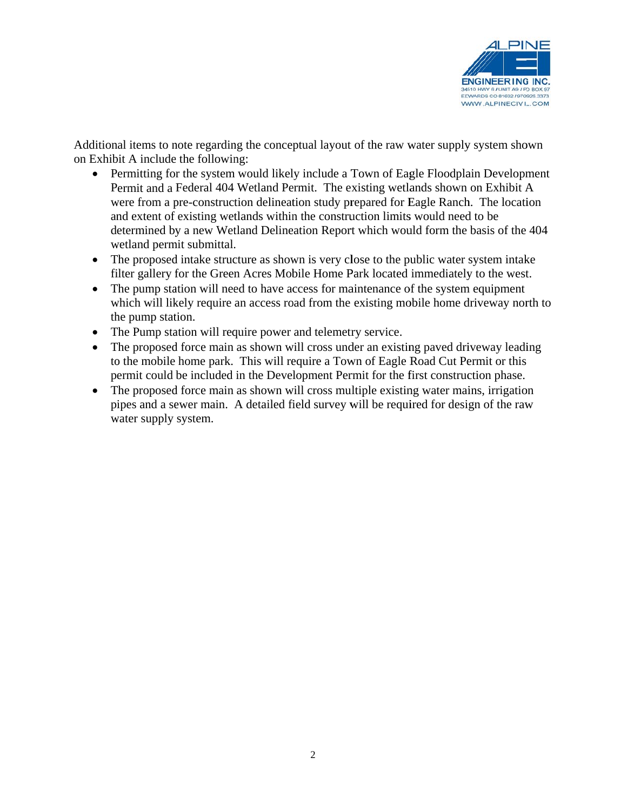

Additional items to note regarding the conceptual layout of the raw water supply system shown on Exhibit A include the following:

- Permitting for the system would likely include a Town of Eagle Floodplain Development Permit and a Federal 404 Wetland Permit. The existing wetlands shown on Exhibit A were from a pre-construction delineation study prepared for Eagle Ranch. The location and extent of existing wetlands within the construction limits would need to be determined by a new Wetland Delineation Report which would form the basis of the 404 wetland permit submittal.
- The proposed intake structure as shown is very close to the public water system intake filter gallery for the Green Acres Mobile Home Park located immediately to the west.
- The pump station will need to have access for maintenance of the system equipment which will likely require an access road from the existing mobile home driveway north to the pump station.
- The Pump station will require power and telemetry service.
- The proposed force main as shown will cross under an existing paved driveway leading to the mobile home park. This will require a Town of Eagle Road Cut Permit or this permit could be included in the Development Permit for the first construction phase.
- The proposed force main as shown will cross multiple existing water mains, irrigation pipes and a sewer main. A detailed field survey will be required for design of the raw w water supply system.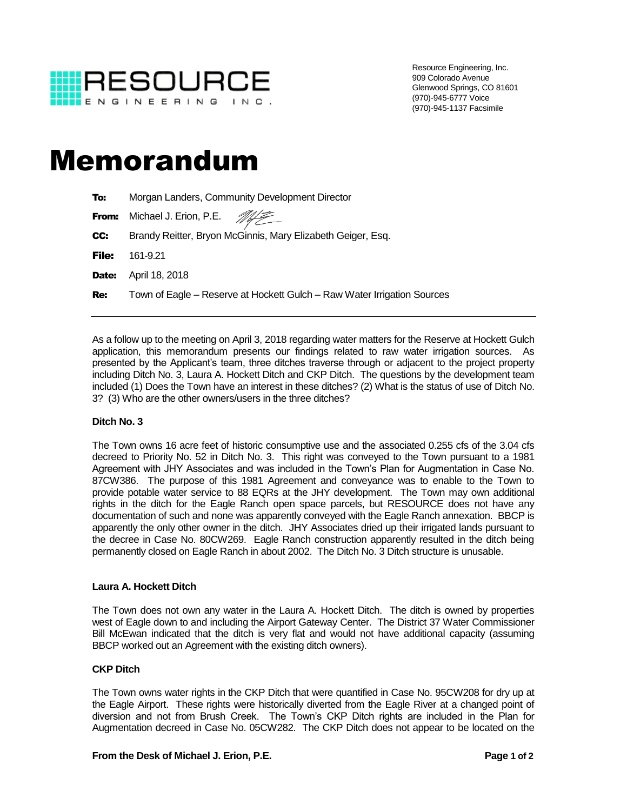

Resource Engineering, Inc. 909 Colorado Avenue Glenwood Springs, CO 81601 (970)-945-6777 Voice (970)-945-1137 Facsimile

# Memorandum

| To:          | Morgan Landers, Community Development Director                          |
|--------------|-------------------------------------------------------------------------|
| From:        | Michael J. Erion, P.E. #                                                |
| CC:          | Brandy Reitter, Bryon McGinnis, Mary Elizabeth Geiger, Esq.             |
| <b>File:</b> | 161-9.21                                                                |
| Date:        | April 18, 2018                                                          |
| <b>Re:</b>   | Town of Eagle – Reserve at Hockett Gulch – Raw Water Irrigation Sources |
|              |                                                                         |

As a follow up to the meeting on April 3, 2018 regarding water matters for the Reserve at Hockett Gulch application, this memorandum presents our findings related to raw water irrigation sources. As presented by the Applicant's team, three ditches traverse through or adjacent to the project property including Ditch No. 3, Laura A. Hockett Ditch and CKP Ditch. The questions by the development team included (1) Does the Town have an interest in these ditches? (2) What is the status of use of Ditch No. 3? (3) Who are the other owners/users in the three ditches?

### **Ditch No. 3**

The Town owns 16 acre feet of historic consumptive use and the associated 0.255 cfs of the 3.04 cfs decreed to Priority No. 52 in Ditch No. 3. This right was conveyed to the Town pursuant to a 1981 Agreement with JHY Associates and was included in the Town's Plan for Augmentation in Case No. 87CW386. The purpose of this 1981 Agreement and conveyance was to enable to the Town to provide potable water service to 88 EQRs at the JHY development. The Town may own additional rights in the ditch for the Eagle Ranch open space parcels, but RESOURCE does not have any documentation of such and none was apparently conveyed with the Eagle Ranch annexation. BBCP is apparently the only other owner in the ditch. JHY Associates dried up their irrigated lands pursuant to the decree in Case No. 80CW269. Eagle Ranch construction apparently resulted in the ditch being permanently closed on Eagle Ranch in about 2002. The Ditch No. 3 Ditch structure is unusable.

### **Laura A. Hockett Ditch**

The Town does not own any water in the Laura A. Hockett Ditch. The ditch is owned by properties west of Eagle down to and including the Airport Gateway Center. The District 37 Water Commissioner Bill McEwan indicated that the ditch is very flat and would not have additional capacity (assuming BBCP worked out an Agreement with the existing ditch owners).

### **CKP Ditch**

The Town owns water rights in the CKP Ditch that were quantified in Case No. 95CW208 for dry up at the Eagle Airport. These rights were historically diverted from the Eagle River at a changed point of diversion and not from Brush Creek. The Town's CKP Ditch rights are included in the Plan for Augmentation decreed in Case No. 05CW282. The CKP Ditch does not appear to be located on the

#### **From the Desk of Michael J. Erion, P.E. Page 1 of 2**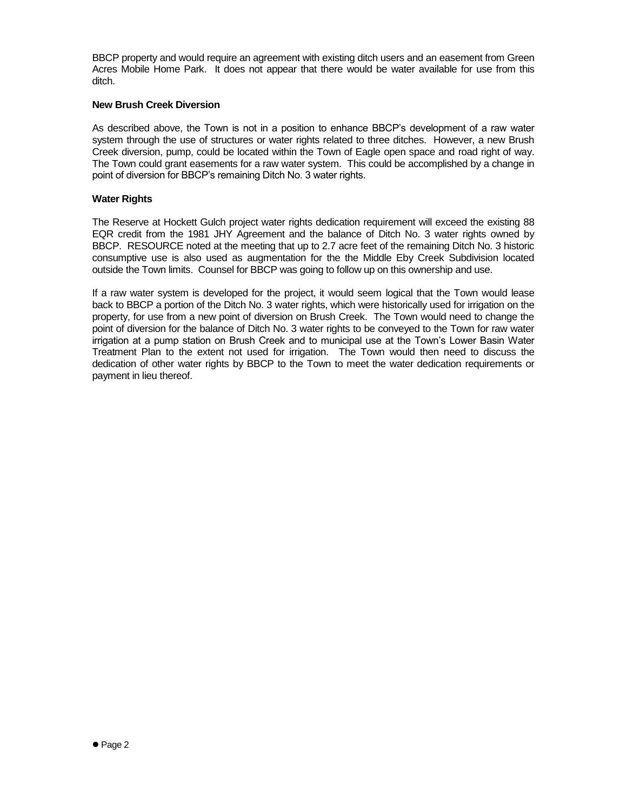BBCP property and would require an agreement with existing ditch users and an easement from Green Acres Mobile Home Park. It does not appear that there would be water available for use from this ditch.

### **New Brush Creek Diversion**

As described above, the Town is not in a position to enhance BBCP's development of a raw water system through the use of structures or water rights related to three ditches. However, a new Brush Creek diversion, pump, could be located within the Town of Eagle open space and road right of way. The Town could grant easements for a raw water system. This could be accomplished by a change in point of diversion for BBCP's remaining Ditch No. 3 water rights.

#### **Water Rights**

The Reserve at Hockett Gulch project water rights dedication requirement will exceed the existing 88 EQR credit from the 1981 JHY Agreement and the balance of Ditch No. 3 water rights owned by BBCP. RESOURCE noted at the meeting that up to 2.7 acre feet of the remaining Ditch No. 3 historic consumptive use is also used as augmentation for the the Middle Eby Creek Subdivision located outside the Town limits. Counsel for BBCP was going to follow up on this ownership and use.

If a raw water system is developed for the project, it would seem logical that the Town would lease back to BBCP a portion of the Ditch No. 3 water rights, which were historically used for irrigation on the property, for use from a new point of diversion on Brush Creek. The Town would need to change the point of diversion for the balance of Ditch No. 3 water rights to be conveyed to the Town for raw water irrigation at a pump station on Brush Creek and to municipal use at the Town's Lower Basin Water Treatment Plan to the extent not used for irrigation. The Town would then need to discuss the dedication of other water rights by BBCP to the Town to meet the water dedication requirements or payment in lieu thereof.